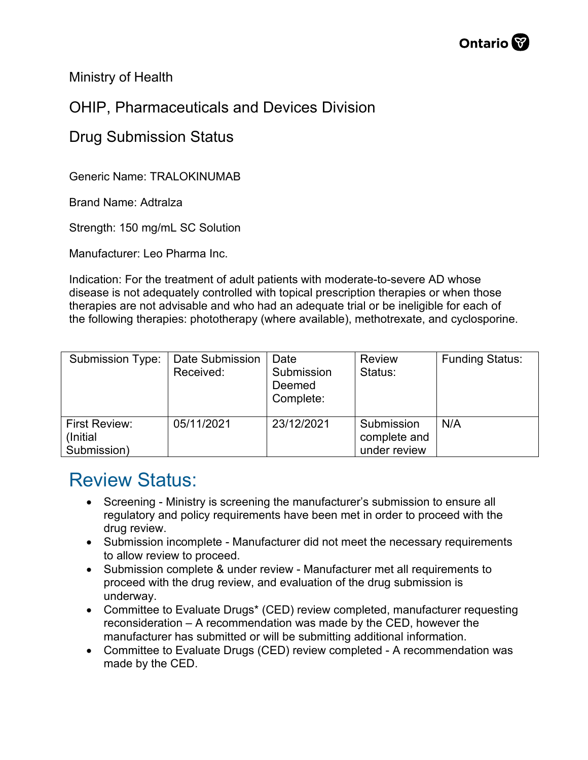

Ministry of Health

## OHIP, Pharmaceuticals and Devices Division

## Drug Submission Status

Generic Name: TRALOKINUMAB

Brand Name: Adtralza

Strength: 150 mg/mL SC Solution

Manufacturer: Leo Pharma Inc.

Indication: For the treatment of adult patients with moderate-to-severe AD whose disease is not adequately controlled with topical prescription therapies or when those therapies are not advisable and who had an adequate trial or be ineligible for each of the following therapies: phototherapy (where available), methotrexate, and cyclosporine.

| <b>Submission Type:</b>                         | Date Submission<br>Received: | Date<br>Submission<br>Deemed<br>Complete: | <b>Review</b><br>Status:                   | <b>Funding Status:</b> |
|-------------------------------------------------|------------------------------|-------------------------------------------|--------------------------------------------|------------------------|
| <b>First Review:</b><br>(Initial<br>Submission) | 05/11/2021                   | 23/12/2021                                | Submission<br>complete and<br>under review | N/A                    |

## Review Status:

- Screening Ministry is screening the manufacturer's submission to ensure all regulatory and policy requirements have been met in order to proceed with the drug review.
- Submission incomplete Manufacturer did not meet the necessary requirements to allow review to proceed.
- Submission complete & under review Manufacturer met all requirements to proceed with the drug review, and evaluation of the drug submission is underway.
- Committee to Evaluate Drugs\* (CED) review completed, manufacturer requesting reconsideration – A recommendation was made by the CED, however the manufacturer has submitted or will be submitting additional information.
- Committee to Evaluate Drugs (CED) review completed A recommendation was made by the CED.